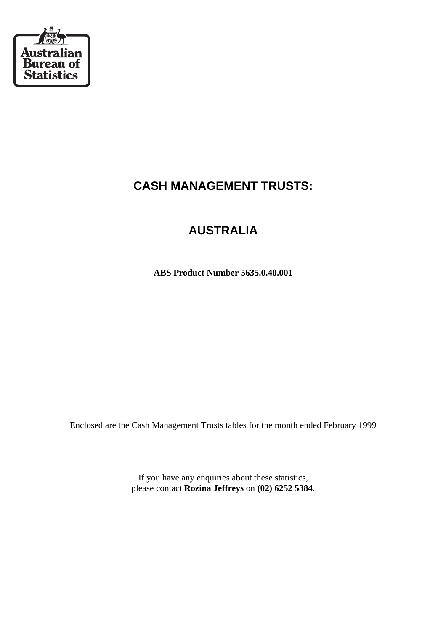

## **CASH MANAGEMENT TRUSTS:**

# **AUSTRALIA**

**ABS Product Number 5635.0.40.001**

Enclosed are the Cash Management Trusts tables for the month ended February 1999

If you have any enquiries about these statistics, please contact **Rozina Jeffreys** on **(02) 6252 5384**.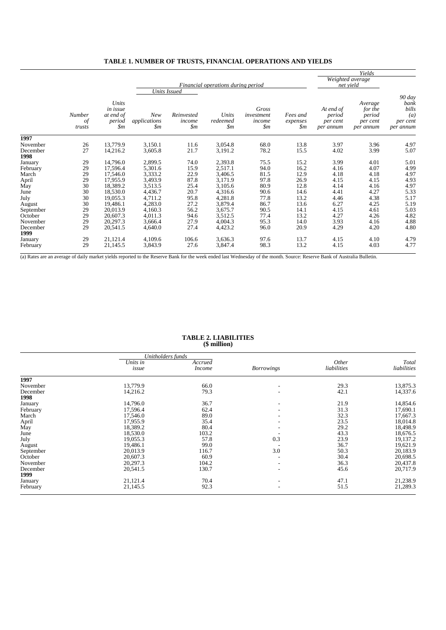|                  |                        |                                                            |                                       | Financial operations during period                     | Weighted average<br>net yield       |                                                 |                             |                                              |                                                       |                                                                      |
|------------------|------------------------|------------------------------------------------------------|---------------------------------------|--------------------------------------------------------|-------------------------------------|-------------------------------------------------|-----------------------------|----------------------------------------------|-------------------------------------------------------|----------------------------------------------------------------------|
|                  | Number<br>of<br>trusts | Units<br>in issue<br>at end of<br>period<br>$\mathfrak{m}$ | New<br>applications<br>$\mathfrak{m}$ | Units Issued<br>Reinvested<br>income<br>$\mathfrak{m}$ | Units<br>redeemed<br>$\mathfrak{m}$ | Gross<br>investment<br>income<br>$\mathfrak{m}$ | Fees and<br>expenses<br>\$m | At end of<br>period<br>per cent<br>per annum | Average<br>for the<br>period<br>per cent<br>per annum | 90 day<br>bank<br>bills<br>$\left(a\right)$<br>per cent<br>per annum |
| 1997             |                        |                                                            |                                       |                                                        |                                     |                                                 |                             |                                              |                                                       |                                                                      |
| November         | 26                     | 13,779.9                                                   | 3,150.1                               | 11.6                                                   | 3,054.8                             | 68.0                                            | 13.8                        | 3.97                                         | 3.96                                                  | 4.97                                                                 |
| December         | 27                     | 14,216.2                                                   | 3,605.8                               | 21.7                                                   | 3,191.2                             | 78.2                                            | 15.5                        | 4.02                                         | 3.99                                                  | 5.07                                                                 |
| 1998             |                        |                                                            |                                       |                                                        |                                     |                                                 |                             |                                              |                                                       |                                                                      |
| January          | 29                     | 14,796.0                                                   | 2,899.5                               | 74.0                                                   | 2,393.8                             | 75.5                                            | 15.2                        | 3.99                                         | 4.01                                                  | 5.01                                                                 |
| February         | 29                     | 17,596.4                                                   | 5,301.6                               | 15.9                                                   | 2,517.1                             | 94.0                                            | 16.2                        | 4.16                                         | 4.07                                                  | 4.99                                                                 |
| March            | 29                     | 17,546.0                                                   | 3,333.2                               | 22.9                                                   | 3,406.5                             | 81.5                                            | 12.9                        | 4.18                                         | 4.18                                                  | 4.97                                                                 |
| April            | 29                     | 17,955.9                                                   | 3,493.9                               | 87.8                                                   | 3,171.9                             | 97.8                                            | 26.9                        | 4.15                                         | 4.15                                                  | 4.93                                                                 |
| May              | 30                     | 18,389.2                                                   | 3,513.5                               | 25.4                                                   | 3,105.6                             | 80.9                                            | 12.8                        | 4.14                                         | 4.16                                                  | 4.97                                                                 |
| June             | 30                     | 18,530.0                                                   | 4,436.7                               | 20.7                                                   | 4,316.6                             | 90.6                                            | 14.6                        | 4.41                                         | 4.27                                                  | 5.33                                                                 |
| July             | 30                     | 19,055.3                                                   | 4,711.2                               | 95.8                                                   | 4,281.8                             | 77.8                                            | 13.2                        | 4.46                                         | 4.38                                                  | 5.17                                                                 |
| August           | 30                     | 19,486.1                                                   | 4,283.0                               | 27.2                                                   | 3,879.4                             | 86.7                                            | 13.6                        | 6.27                                         | 4.25                                                  | 5.19                                                                 |
| September        | 29                     | 20,013.9                                                   | 4,160.3                               | 56.2                                                   | 3,675.7                             | 90.5                                            | 14.1                        | 4.15                                         | 4.61                                                  | 5.03                                                                 |
| October          | 29                     | 20,607.3                                                   | 4,011.3                               | 94.6                                                   | 3,512.5                             | 77.4                                            | 13.2                        | 4.27                                         | 4.26                                                  | 4.82                                                                 |
| November         | 29                     | 20,297.3                                                   | 3,666.4                               | 27.9                                                   | 4,004.3                             | 95.3                                            | 14.0                        | 3.93                                         | 4.16                                                  | 4.88                                                                 |
| December<br>1999 | 29                     | 20,541.5                                                   | 4,640.0                               | 27.4                                                   | 4,423.2                             | 96.0                                            | 20.9                        | 4.29                                         | 4.20                                                  | 4.80                                                                 |
| January          | 29                     | 21,121.4                                                   | 4,109.6                               | 106.6                                                  | 3,636.3                             | 97.6                                            | 13.7                        | 4.15                                         | 4.10                                                  | 4.79                                                                 |
| February         | 29                     | 21,145.5                                                   | 3,843.9                               | 27.6                                                   | 3,847.4                             | 98.3                                            | 13.2                        | 4.15                                         | 4.03                                                  | 4.77                                                                 |

#### **TABLE 1. NUMBER OF TRUSTS, FINANCIAL OPERATIONS AND YIELDS**

(a) Rates are an average of daily market yields reported to the Reserve Bank for the week ended last Wednesday of the month. Source: Reserve Bank of Australia Bulletin.

#### **TABLE 2. LIABILITIES (\$ million)**

|                  | Unitholders funds |                          |                   |                      |                      |  |
|------------------|-------------------|--------------------------|-------------------|----------------------|----------------------|--|
|                  | Units in<br>issue | Accrued<br><i>Income</i> | <b>Borrowings</b> | Other<br>liabilities | Total<br>liabilities |  |
| 1997             |                   |                          |                   |                      |                      |  |
| November         | 13,779.9          | 66.0                     |                   | 29.3                 | 13,875.3             |  |
| December         | 14,216.2          | 79.3                     |                   | 42.1                 | 14,337.6             |  |
| 1998             |                   |                          |                   |                      |                      |  |
| January          | 14,796.0          | 36.7                     |                   | 21.9                 | 14,854.6             |  |
| February         | 17,596.4          | 62.4                     |                   | 31.3                 | 17,690.1             |  |
| March            | 17,546.0          | 89.0                     |                   | 32.3                 | 17,667.3             |  |
| April            | 17,955.9          | 35.4                     |                   | 23.5                 | 18,014.8             |  |
| May              | 18,389.2          | 80.4                     |                   | 29.2                 | 18,498.9             |  |
| June             | 18,530.0          | 103.2                    |                   | 43.3                 | 18,676.5             |  |
| July             | 19,055.3          | 57.8                     | 0.3               | 23.9                 | 19,137.2             |  |
| August           | 19,486.1          | 99.0                     |                   | 36.7                 | 19,621.9             |  |
| September        | 20,013.9          | 116.7                    | 3.0               | 50.3                 | 20,183.9             |  |
| October          | 20,607.3          | 60.9                     |                   | 30.4                 | 20,698.5             |  |
| November         | 20,297.3          | 104.2                    |                   | 36.3                 | 20,437.8             |  |
| December<br>1999 | 20,541.5          | 130.7                    |                   | 45.6                 | 20,717.9             |  |
| January          | 21,121.4          | 70.4                     |                   | 47.1                 | 21,238.9             |  |
| February         | 21,145.5          | 92.3                     |                   | 51.5                 | 21,289.3             |  |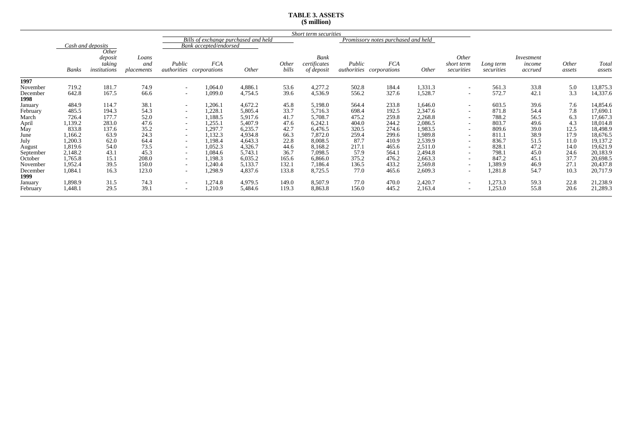## **TABLE 3. ASSETS (\$ million)**

|                  |         |                                   |                                     | Short term securities |                                      |              |                |                                    |        |                                               |              |                                          |                         |                                 |                 |                 |
|------------------|---------|-----------------------------------|-------------------------------------|-----------------------|--------------------------------------|--------------|----------------|------------------------------------|--------|-----------------------------------------------|--------------|------------------------------------------|-------------------------|---------------------------------|-----------------|-----------------|
|                  |         |                                   |                                     |                       | Bills of exchange purchased and held |              |                |                                    |        | Promissory notes purchased and held           |              |                                          |                         |                                 |                 |                 |
|                  |         | Cash and deposits                 |                                     |                       | Bank accepted/endorsed               |              |                |                                    |        |                                               |              |                                          |                         |                                 |                 |                 |
|                  | Banks   | deposit<br>taking<br>institutions | Other<br>Loans<br>and<br>placements | Public<br>authorities | <b>FCA</b><br>corporations           | <i>Other</i> | Other<br>bills | Bank<br>certificates<br>of deposit | Public | <b>FCA</b><br><i>authorities corporations</i> | <i>Other</i> | <i>Other</i><br>short term<br>securities | Long term<br>securities | Investment<br>income<br>accrued | Other<br>assets | Total<br>assets |
| 1997             |         |                                   |                                     |                       |                                      |              |                |                                    |        |                                               |              |                                          |                         |                                 |                 |                 |
| November         | 719.2   | 181.7                             | 74.9                                | $\sim$                | 1,064.0                              | 4,886.1      | 53.6           | 4,277.2                            | 502.8  | 184.4                                         | 1,331.3      | $\sim$                                   | 561.3                   | 33.8                            | 5.0             | 13,875.3        |
| December<br>1998 | 642.8   | 167.5                             | 66.6                                | $\sim$                | 1,099.0                              | 4,754.5      | 39.6           | 4,536.9                            | 556.2  | 327.6                                         | 1,528.7      | $\sim$                                   | 572.7                   | 42.1                            | 3.3             | 14,337.6        |
| January          | 484.9   | 114.7                             | 38.1                                | $\sim$                | 1,206.1                              | 4,672.2      | 45.8           | 5,198.0                            | 564.4  | 233.8                                         | 1,646.0      | $\overline{\phantom{0}}$                 | 603.5                   | 39.6                            | 7.6             | 14,854.6        |
| February         | 485.5   | 194.3                             | 54.3                                | $\sim$                | 1,228.1                              | 5,805.4      | 33.7           | 5,716.3                            | 698.4  | 192.5                                         | 2,347.6      | $\sim$                                   | 871.8                   | 54.4                            | 7.8             | 17,690.1        |
| March            | 726.4   | 177.7                             | 52.0                                | $\sim$                | 1,188.5                              | 5,917.6      | 41.7           | 5,708.7                            | 475.2  | 259.8                                         | 2,268.8      | $\sim$                                   | 788.2                   | 56.5                            | 6.3             | 17,667.3        |
| April            | 1,139.2 | 283.0                             | 47.6                                | $\sim$                | 1,255.1                              | 5,407.9      | 47.6           | 6,242.1                            | 404.0  | 244.2                                         | 2,086.5      | $\overline{\phantom{0}}$                 | 803.7                   | 49.6                            | 4.3             | 18,014.8        |
| May              | 833.8   | 137.6                             | 35.2                                | $\sim$                | 1,297.7                              | 6,235.7      | 42.7           | 6,476.5                            | 320.5  | 274.6                                         | 1,983.5      | $\sim$                                   | 809.6                   | 39.0                            | 12.5            | 18,498.9        |
| June             | 1,166.2 | 63.9                              | 24.3                                | $\sim$                | 1,132.3                              | 4,934.8      | 66.3           | 7,872.0                            | 259.4  | 299.6                                         | 1,989.8      | $\sim$                                   | 811.1                   | 38.9                            | 17.9            | 18,676.5        |
| July             | 1,200.3 | 62.0                              | 64.4                                | $\sim$                | 1,198.4                              | 4,643.3      | 22.8           | 8,008.5                            | 87.7   | 410.9                                         | 2,539.9      | $\overline{\phantom{0}}$                 | 836.7                   | 51.5                            | 11.0            | 19,137.2        |
| August           | 1,819.6 | 54.0                              | 73.5                                | $\sim$                | 1,052.3                              | 4,326.7      | 44.6           | 8,168.2                            | 217.1  | 465.6                                         | 2,511.0      | $\sim$                                   | 828.1                   | 47.2                            | 14.0            | 19,621.9        |
| September        | 2,148.2 | 43.1                              | 45.3                                | $\sim$                | 1,084.6                              | 5,743.1      | 36.7           | 7,098.5                            | 57.9   | 564.1                                         | 2,494.8      | $\sim$                                   | 798.1                   | 45.0                            | 24.6            | 20,183.9        |
| October          | 1,765.8 | 15.1                              | 208.0                               | $\sim$                | 1,198.3                              | 6,035.2      | 165.6          | 6,866.0                            | 375.2  | 476.2                                         | 2,663.3      | $\sim$                                   | 847.2                   | 45.1                            | 37.7            | 20,698.5        |
| November         | 1,952.4 | 39.5                              | 150.0                               | $\sim$                | 1,240.4                              | 5,133.7      | 132.1          | 7,186.4                            | 136.5  | 433.2                                         | 2,569.8      | $\sim$                                   | 1,389.9                 | 46.9                            | 27.1            | 20,437.8        |
| December<br>1999 | 1,084.1 | 16.3                              | 123.0                               | $\sim$                | 1,298.9                              | 4,837.6      | 133.8          | 8,725.5                            | 77.0   | 465.6                                         | 2,609.3      | $\overline{\phantom{0}}$                 | 1,281.8                 | 54.7                            | 10.3            | 20,717.9        |
| January          | 1,898.9 | 31.5                              | 74.3                                | $\sim$                | 1,274.8                              | 4,979.5      | 149.0          | 8,507.9                            | 77.0   | 470.0                                         | 2,420.7      | $\sim$                                   | 1,273.3                 | 59.3                            | 22.8            | 21,238.9        |
| February         | 1,448.1 | 29.5                              | 39.1                                | $\sim$                | 1,210.9                              | 5,484.6      | 119.3          | 8,863.8                            | 156.0  | 445.2                                         | 2,163.4      | $\overline{\phantom{0}}$                 | 1,253.0                 | 55.8                            | 20.6            | 21,289.3        |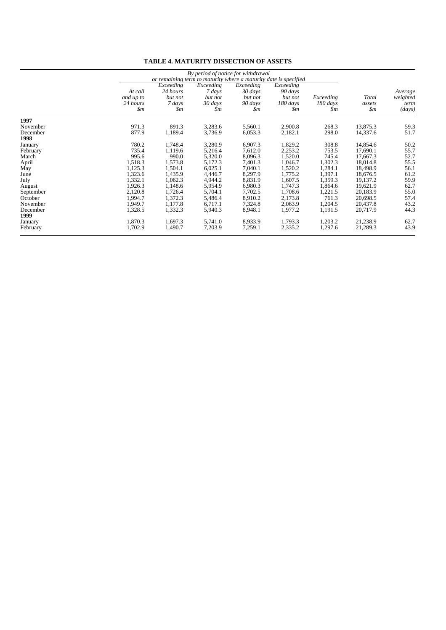|                  |                                                    | By period of notice for withdrawal<br>or remaining term to maturity where a maturity date is specified |                                                  |                                                   |                                                      |                              |                                   |                                       |  |
|------------------|----------------------------------------------------|--------------------------------------------------------------------------------------------------------|--------------------------------------------------|---------------------------------------------------|------------------------------------------------------|------------------------------|-----------------------------------|---------------------------------------|--|
|                  | At call<br>and up to<br>24 hours<br>$\mathfrak{m}$ | Exceeding<br>24 hours<br>but not<br>7 days<br>\$m                                                      | Exceeding<br>7 days<br>but not<br>30 days<br>\$m | Exceeding<br>30 days<br>but not<br>90 days<br>\$m | Exceeding<br>90 days<br>but not<br>$180$ days<br>\$m | Exceeding<br>180 days<br>\$m | Total<br>assets<br>$\mathfrak{m}$ | Average<br>weighted<br>term<br>(days) |  |
| 1997             |                                                    |                                                                                                        |                                                  |                                                   |                                                      |                              |                                   |                                       |  |
| November         | 971.3                                              | 891.3                                                                                                  | 3,283.6                                          | 5,560.1                                           | 2,900.8                                              | 268.3                        | 13,875.3                          | 59.3                                  |  |
| December<br>1998 | 877.9                                              | 1,189.4                                                                                                | 3,736.9                                          | 6,053.3                                           | 2,182.1                                              | 298.0                        | 14,337.6                          | 51.7                                  |  |
| January          | 780.2                                              | 1,748.4                                                                                                | 3,280.9                                          | 6,907.3                                           | 1,829.2                                              | 308.8                        | 14,854.6                          | 50.2                                  |  |
| February         | 735.4                                              | 1,119.6                                                                                                | 5,216.4                                          | 7,612.0                                           | 2,253.2                                              | 753.5                        | 17.690.1                          | 55.7                                  |  |
| March            | 995.6                                              | 990.0                                                                                                  | 5,320.0                                          | 8,096.3                                           | 1,520.0                                              | 745.4                        | 17,667.3                          | 52.7                                  |  |
| April            | 1,518.3                                            | 1,573.8                                                                                                | 5,172.3                                          | 7,401.3                                           | 1,046.7                                              | 1,302.3                      | 18,014.8                          | 55.5                                  |  |
| May              | 1,125.3                                            | 1,504.1                                                                                                | 6,025.1                                          | 7,040.1                                           | 1,520.2                                              | 1,284.1                      | 18,498.9                          | 56.1                                  |  |
| June             | 1,323.6                                            | 1,435.9                                                                                                | 4,446.7                                          | 8,297.9                                           | 1,775.2                                              | 1,397.1                      | 18,676.5                          | 61.2                                  |  |
| July             | 1,332.1                                            | 1,062.3                                                                                                | 4,944.2                                          | 8,831.9                                           | 1,607.5                                              | 1,359.3                      | 19,137.2                          | 59.9                                  |  |
| August           | 1,926.3                                            | 1,148.6                                                                                                | 5,954.9                                          | 6,980.3                                           | 1,747.3                                              | 1,864.6                      | 19,621.9                          | 62.7                                  |  |
| September        | 2,120.8                                            | 1,726.4                                                                                                | 5,704.1                                          | 7,702.5                                           | 1,708.6                                              | 1,221.5                      | 20,183.9                          | 55.0                                  |  |
| October          | 1.994.7                                            | 1,372.3                                                                                                | 5,486.4                                          | 8,910.2                                           | 2,173.8                                              | 761.3                        | 20,698.5                          | 57.4                                  |  |
| November         | 1,949.7                                            | 1,177.8                                                                                                | 6,717.1                                          | 7,324.8                                           | 2,063.9                                              | 1,204.5                      | 20,437.8                          | 43.2                                  |  |
| December<br>1999 | 1,328.5                                            | 1,332.3                                                                                                | 5,940.3                                          | 8,948.1                                           | 1,977.2                                              | 1,191.5                      | 20,717.9                          | 44.3                                  |  |
| January          | 1,870.3                                            | 1,697.3                                                                                                | 5,741.0                                          | 8,933.9                                           | 1,793.3                                              | 1,203.2                      | 21,238.9                          | 62.7                                  |  |
| February         | 1,702.9                                            | 1,490.7                                                                                                | 7,203.9                                          | 7,259.1                                           | 2,335.2                                              | 1,297.6                      | 21,289.3                          | 43.9                                  |  |

#### **TABLE 4. MATURITY DISSECTION OF ASSETS**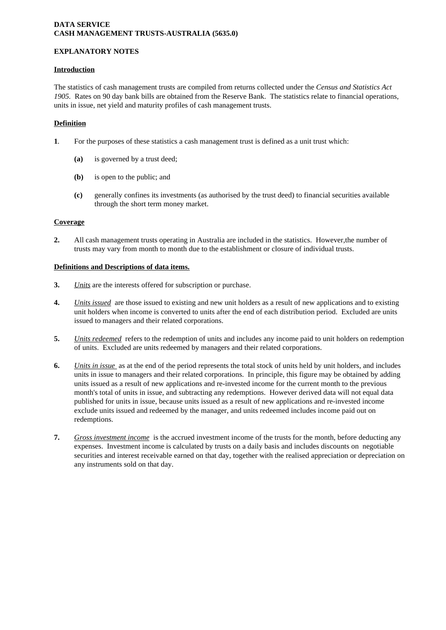## **DATA SERVICE CASH MANAGEMENT TRUSTS-AUSTRALIA (5635.0)**

## **EXPLANATORY NOTES**

## **Introduction**

The statistics of cash management trusts are compiled from returns collected under the *Census and Statistics Act 1905.* Rates on 90 day bank bills are obtained from the Reserve Bank. The statistics relate to financial operations, units in issue, net yield and maturity profiles of cash management trusts.

## **Definition**

- **1***.* For the purposes of these statistics a cash management trust is defined as a unit trust which:
	- **(a)** is governed by a trust deed;
	- **(b)** is open to the public; and
	- **(c)** generally confines its investments (as authorised by the trust deed) to financial securities available through the short term money market.

## **Coverage**

**2.** All cash management trusts operating in Australia are included in the statistics. However,the number of trusts may vary from month to month due to the establishment or closure of individual trusts.

### **Definitions and Descriptions of data items.**

- **3.** *Units* are the interests offered for subscription or purchase.
- **4.** *Units issued* are those issued to existing and new unit holders as a result of new applications and to existing unit holders when income is converted to units after the end of each distribution period. Excluded are units issued to managers and their related corporations.
- **5.** *Units redeemed* refers to the redemption of units and includes any income paid to unit holders on redemption of units. Excluded are units redeemed by managers and their related corporations.
- **6.** *Units in issue* as at the end of the period represents the total stock of units held by unit holders, and includes units in issue to managers and their related corporations. In principle, this figure may be obtained by adding units issued as a result of new applications and re-invested income for the current month to the previous month's total of units in issue, and subtracting any redemptions. However derived data will not equal data published for units in issue, because units issued as a result of new applications and re-invested income exclude units issued and redeemed by the manager, and units redeemed includes income paid out on redemptions.
- **7.** *Gross investment income* is the accrued investment income of the trusts for the month, before deducting any expenses. Investment income is calculated by trusts on a daily basis and includes discounts on negotiable securities and interest receivable earned on that day, together with the realised appreciation or depreciation on any instruments sold on that day.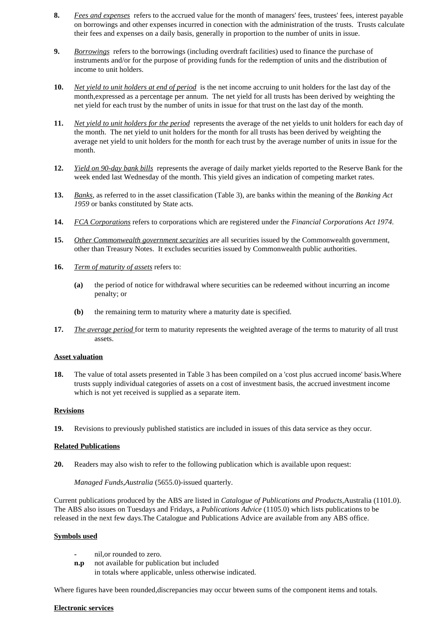- **8.** *Fees and expenses* refers to the accrued value for the month of managers' fees, trustees' fees, interest payable on borrowings and other expenses incurred in conection with the administration of the trusts. Trusts calculate their fees and expenses on a daily basis, generally in proportion to the number of units in issue.
- **9.** *Borrowings* refers to the borrowings (including overdraft facilities) used to finance the purchase of instruments and/or for the purpose of providing funds for the redemption of units and the distribution of income to unit holders.
- **10.** *Net yield to unit holders at end of period* is the net income accruing to unit holders for the last day of the month,expressed as a percentage per annum. The net yield for all trusts has been derived by weighting the net yield for each trust by the number of units in issue for that trust on the last day of the month.
- **11.** *Net yield to unit holders for the period* represents the average of the net yields to unit holders for each day of the month. The net yield to unit holders for the month for all trusts has been derived by weighting the average net yield to unit holders for the month for each trust by the average number of units in issue for the month.
- **12.** *Yield on 90-day bank bills* represents the average of daily market yields reported to the Reserve Bank for the week ended last Wednesday of the month. This yield gives an indication of competing market rates.
- **13.** *Banks*, as referred to in the asset classification (Table 3), are banks within the meaning of the *Banking Act 1959* or banks constituted by State acts.
- **14.** *FCA Corporations* refers to corporations which are registered under the *Financial Corporations Act 1974*.
- 15. Other Commonwealth government securities are all securities issued by the Commonwealth government, other than Treasury Notes. It excludes securities issued by Commonwealth public authorities.
- **16.** *Term of maturity of assets* refers to:
	- **(a)** the period of notice for withdrawal where securities can be redeemed without incurring an income penalty; or
	- **(b)** the remaining term to maturity where a maturity date is specified.
- **17.** *The average period* for term to maturity represents the weighted average of the terms to maturity of all trust assets.

#### **Asset valuation**

**18.** The value of total assets presented in Table 3 has been compiled on a 'cost plus accrued income' basis.Where trusts supply individual categories of assets on a cost of investment basis, the accrued investment income which is not yet received is supplied as a separate item.

#### **Revisions**

**19.** Revisions to previously published statistics are included in issues of this data service as they occur.

#### **Related Publications**

**20.** Readers may also wish to refer to the following publication which is available upon request:

*Managed Funds,Australia* (5655.0)-issued quarterly.

Current publications produced by the ABS are listed in *Catalogue of Publications and Products*,Australia (1101.0). The ABS also issues on Tuesdays and Fridays, a *Publications Advice* (1105.0) which lists publications to be released in the next few days.The Catalogue and Publications Advice are available from any ABS office.

### **Symbols used**

- **-** nil,or rounded to zero.
- **n.p** not available for publication but included in totals where applicable, unless otherwise indicated.

Where figures have been rounded,discrepancies may occur btween sums of the component items and totals.

#### **Electronic services**